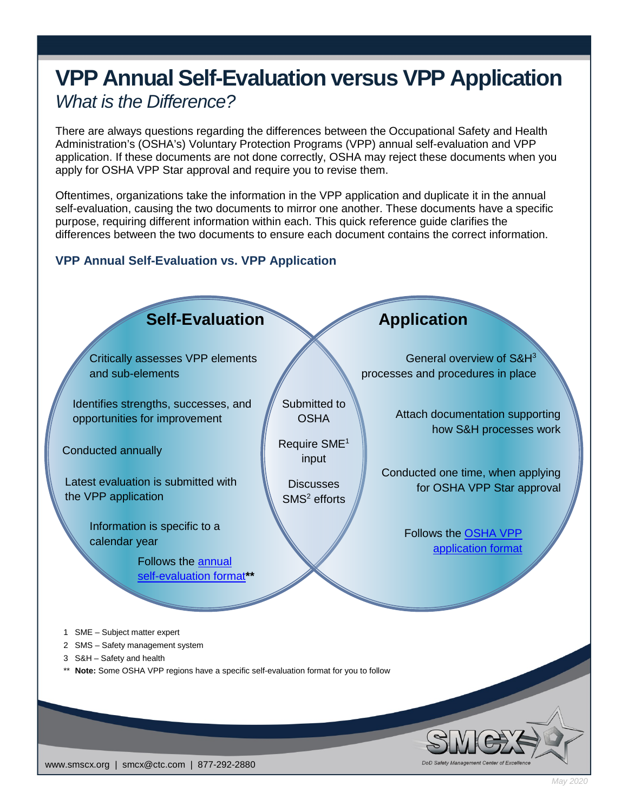# **VPP Annual Self-Evaluation versus VPP Application** *What is the Difference?*

There are always questions regarding the differences between the Occupational Safety and Health Administration's (OSHA's) Voluntary Protection Programs (VPP) annual self-evaluation and VPP application. If these documents are not done correctly, OSHA may reject these documents when you apply for OSHA VPP Star approval and require you to revise them.

Oftentimes, organizations take the information in the VPP application and duplicate it in the annual self-evaluation, causing the two documents to mirror one another. These documents have a specific purpose, requiring different information within each. This quick reference guide clarifies the differences between the two documents to ensure each document contains the correct information.

# **VPP Annual Self-Evaluation vs. VPP Application**



www.smscx.org | smcx@ctc.com | 877-292-2880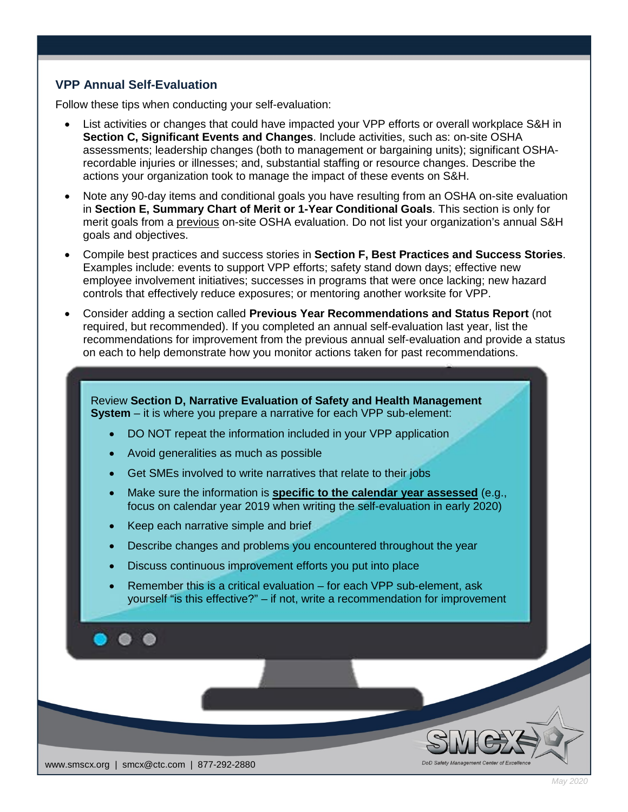# **VPP Annual Self-Evaluation**

Follow these tips when conducting your self-evaluation:

- List activities or changes that could have impacted your VPP efforts or overall workplace S&H in **Section C, Significant Events and Changes**. Include activities, such as: on-site OSHA assessments; leadership changes (both to management or bargaining units); significant OSHArecordable injuries or illnesses; and, substantial staffing or resource changes. Describe the actions your organization took to manage the impact of these events on S&H.
- Note any 90-day items and conditional goals you have resulting from an OSHA on-site evaluation in **Section E, Summary Chart of Merit or 1-Year Conditional Goals**. This section is only for merit goals from a previous on-site OSHA evaluation. Do not list your organization's annual S&H goals and objectives.
- Compile best practices and success stories in **Section F, Best Practices and Success Stories**. Examples include: events to support VPP efforts; safety stand down days; effective new employee involvement initiatives; successes in programs that were once lacking; new hazard controls that effectively reduce exposures; or mentoring another worksite for VPP.
- Consider adding a section called **Previous Year Recommendations and Status Report** (not required, but recommended). If you completed an annual self-evaluation last year, list the recommendations for improvement from the previous annual self-evaluation and provide a status on each to help demonstrate how you monitor actions taken for past recommendations.

Review **Section D, Narrative Evaluation of Safety and Health Management System** – it is where you prepare a narrative for each VPP sub-element:

- DO NOT repeat the information included in your VPP application
- Avoid generalities as much as possible
- Get SMEs involved to write narratives that relate to their jobs
- Make sure the information is **specific to the calendar year assessed** (e.g., focus on calendar year 2019 when writing the self-evaluation in early 2020)
- Keep each narrative simple and brief
- Describe changes and problems you encountered throughout the year
- Discuss continuous improvement efforts you put into place
- Remember this is a critical evaluation for each VPP sub-element, ask yourself "is this effective?" – if not, write a recommendation for improvement

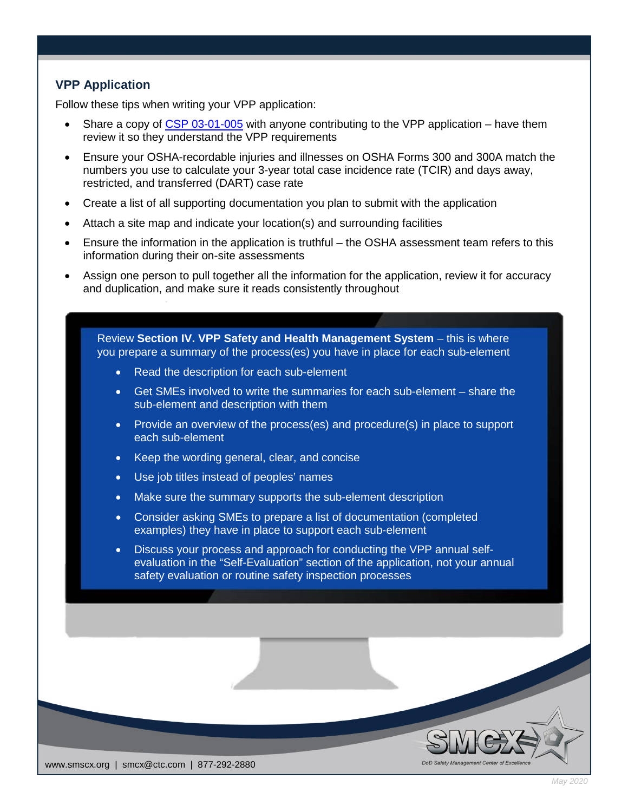# **VPP Application**

Follow these tips when writing your VPP application:

- Share a copy of [CSP 03-01-005](https://www.osha.gov/enforcement/directives/csp-03-01-005) with anyone contributing to the VPP application have them review it so they understand the VPP requirements
- Ensure your OSHA-recordable injuries and illnesses on OSHA Forms 300 and 300A match the numbers you use to calculate your 3-year total case incidence rate (TCIR) and days away, restricted, and transferred (DART) case rate
- Create a list of all supporting documentation you plan to submit with the application
- Attach a site map and indicate your location(s) and surrounding facilities
- Ensure the information in the application is truthful the OSHA assessment team refers to this information during their on-site assessments
- Assign one person to pull together all the information for the application, review it for accuracy and duplication, and make sure it reads consistently throughout